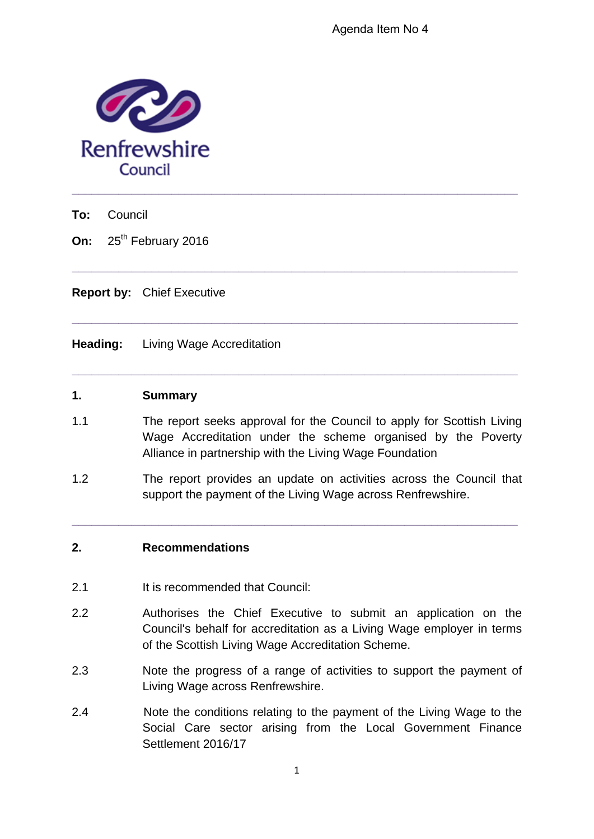

**To:** Council

**On:** 25<sup>th</sup> February 2016

**Report by:** Chief Executive

**Heading:** Living Wage Accreditation

#### **1. Summary**

1.1 The report seeks approval for the Council to apply for Scottish Living Wage Accreditation under the scheme organised by the Poverty Alliance in partnership with the Living Wage Foundation

**\_\_\_\_\_\_\_\_\_\_\_\_\_\_\_\_\_\_\_\_\_\_\_\_\_\_\_\_\_\_\_\_\_\_\_\_\_\_\_\_\_\_\_\_\_\_\_\_\_\_\_\_\_\_\_\_\_\_\_\_\_\_\_\_\_\_\_** 

**\_\_\_\_\_\_\_\_\_\_\_\_\_\_\_\_\_\_\_\_\_\_\_\_\_\_\_\_\_\_\_\_\_\_\_\_\_\_\_\_\_\_\_\_\_\_\_\_\_\_\_\_\_\_\_\_\_\_\_\_\_\_\_\_\_\_\_** 

**\_\_\_\_\_\_\_\_\_\_\_\_\_\_\_\_\_\_\_\_\_\_\_\_\_\_\_\_\_\_\_\_\_\_\_\_\_\_\_\_\_\_\_\_\_\_\_\_\_\_\_\_\_\_\_\_\_\_\_\_\_\_\_\_\_\_\_** 

1.2 The report provides an update on activities across the Council that support the payment of the Living Wage across Renfrewshire.

**\_\_\_\_\_\_\_\_\_\_\_\_\_\_\_\_\_\_\_\_\_\_\_\_\_\_\_\_\_\_\_\_\_\_\_\_\_\_\_\_\_\_\_\_\_\_\_\_\_\_\_\_\_\_\_\_\_\_\_\_\_\_\_\_\_\_\_** 

## **2. Recommendations**

- 2.1 It is recommended that Council:
- 2.2 Authorises the Chief Executive to submit an application on the Council's behalf for accreditation as a Living Wage employer in terms of the Scottish Living Wage Accreditation Scheme.
- 2.3 Note the progress of a range of activities to support the payment of Living Wage across Renfrewshire.
- 2.4 Note the conditions relating to the payment of the Living Wage to the Social Care sector arising from the Local Government Finance Settlement 2016/17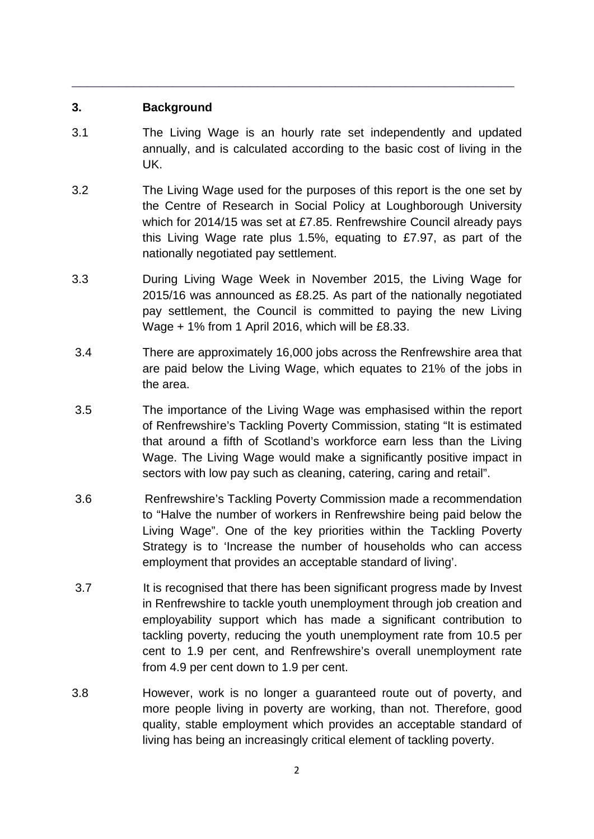#### **3. Background**

3.1 The Living Wage is an hourly rate set independently and updated annually, and is calculated according to the basic cost of living in the UK.

\_\_\_\_\_\_\_\_\_\_\_\_\_\_\_\_\_\_\_\_\_\_\_\_\_\_\_\_\_\_\_\_\_\_\_\_\_\_\_\_\_\_\_\_\_\_\_\_\_\_\_\_\_\_\_\_\_

- 3.2 The Living Wage used for the purposes of this report is the one set by the Centre of Research in Social Policy at Loughborough University which for 2014/15 was set at £7.85. Renfrewshire Council already pays this Living Wage rate plus 1.5%, equating to £7.97, as part of the nationally negotiated pay settlement.
- 3.3 During Living Wage Week in November 2015, the Living Wage for 2015/16 was announced as £8.25. As part of the nationally negotiated pay settlement, the Council is committed to paying the new Living Wage + 1% from 1 April 2016, which will be £8.33.
- 3.4 There are approximately 16,000 jobs across the Renfrewshire area that are paid below the Living Wage, which equates to 21% of the jobs in the area.
- 3.5 The importance of the Living Wage was emphasised within the report of Renfrewshire's Tackling Poverty Commission, stating "It is estimated that around a fifth of Scotland's workforce earn less than the Living Wage. The Living Wage would make a significantly positive impact in sectors with low pay such as cleaning, catering, caring and retail".
- 3.6 Renfrewshire's Tackling Poverty Commission made a recommendation to "Halve the number of workers in Renfrewshire being paid below the Living Wage". One of the key priorities within the Tackling Poverty Strategy is to 'Increase the number of households who can access employment that provides an acceptable standard of living'.
- 3.7 It is recognised that there has been significant progress made by Invest in Renfrewshire to tackle youth unemployment through job creation and employability support which has made a significant contribution to tackling poverty, reducing the youth unemployment rate from 10.5 per cent to 1.9 per cent, and Renfrewshire's overall unemployment rate from 4.9 per cent down to 1.9 per cent.
- 3.8 However, work is no longer a guaranteed route out of poverty, and more people living in poverty are working, than not. Therefore, good quality, stable employment which provides an acceptable standard of living has being an increasingly critical element of tackling poverty.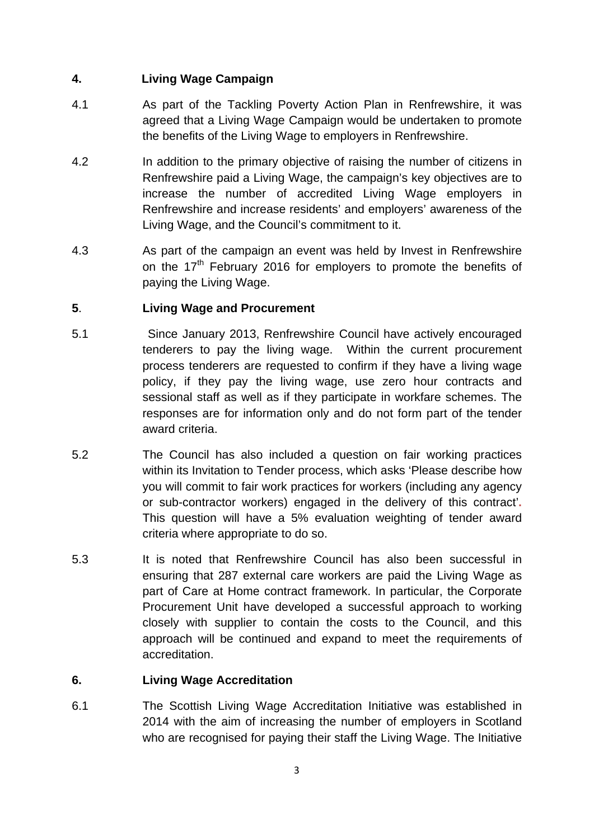## **4. Living Wage Campaign**

- 4.1 As part of the Tackling Poverty Action Plan in Renfrewshire, it was agreed that a Living Wage Campaign would be undertaken to promote the benefits of the Living Wage to employers in Renfrewshire.
- 4.2 In addition to the primary objective of raising the number of citizens in Renfrewshire paid a Living Wage, the campaign's key objectives are to increase the number of accredited Living Wage employers in Renfrewshire and increase residents' and employers' awareness of the Living Wage, and the Council's commitment to it.
- 4.3 As part of the campaign an event was held by Invest in Renfrewshire on the  $17<sup>th</sup>$  February 2016 for employers to promote the benefits of paying the Living Wage.

# **5**. **Living Wage and Procurement**

- 5.1 Since January 2013, Renfrewshire Council have actively encouraged tenderers to pay the living wage. Within the current procurement process tenderers are requested to confirm if they have a living wage policy, if they pay the living wage, use zero hour contracts and sessional staff as well as if they participate in workfare schemes. The responses are for information only and do not form part of the tender award criteria.
- 5.2 The Council has also included a question on fair working practices within its Invitation to Tender process, which asks 'Please describe how you will commit to fair work practices for workers (including any agency or sub-contractor workers) engaged in the delivery of this contract'**.**  This question will have a 5% evaluation weighting of tender award criteria where appropriate to do so.
- 5.3 It is noted that Renfrewshire Council has also been successful in ensuring that 287 external care workers are paid the Living Wage as part of Care at Home contract framework. In particular, the Corporate Procurement Unit have developed a successful approach to working closely with supplier to contain the costs to the Council, and this approach will be continued and expand to meet the requirements of accreditation.

# **6. Living Wage Accreditation**

6.1 The Scottish Living Wage Accreditation Initiative was established in 2014 with the aim of increasing the number of employers in Scotland who are recognised for paying their staff the Living Wage. The Initiative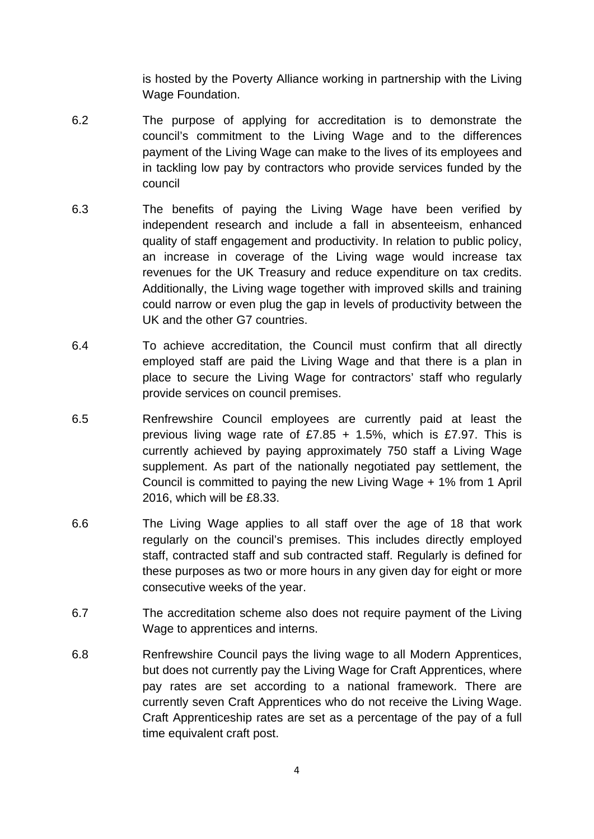is hosted by the Poverty Alliance working in partnership with the Living Wage Foundation.

- 6.2 The purpose of applying for accreditation is to demonstrate the council's commitment to the Living Wage and to the differences payment of the Living Wage can make to the lives of its employees and in tackling low pay by contractors who provide services funded by the council
- 6.3 The benefits of paying the Living Wage have been verified by independent research and include a fall in absenteeism, enhanced quality of staff engagement and productivity. In relation to public policy, an increase in coverage of the Living wage would increase tax revenues for the UK Treasury and reduce expenditure on tax credits. Additionally, the Living wage together with improved skills and training could narrow or even plug the gap in levels of productivity between the UK and the other G7 countries.
- 6.4 To achieve accreditation, the Council must confirm that all directly employed staff are paid the Living Wage and that there is a plan in place to secure the Living Wage for contractors' staff who regularly provide services on council premises.
- 6.5 Renfrewshire Council employees are currently paid at least the previous living wage rate of £7.85  $+$  1.5%, which is £7.97. This is currently achieved by paying approximately 750 staff a Living Wage supplement. As part of the nationally negotiated pay settlement, the Council is committed to paying the new Living Wage + 1% from 1 April 2016, which will be £8.33.
- 6.6 The Living Wage applies to all staff over the age of 18 that work regularly on the council's premises. This includes directly employed staff, contracted staff and sub contracted staff. Regularly is defined for these purposes as two or more hours in any given day for eight or more consecutive weeks of the year.
- 6.7 The accreditation scheme also does not require payment of the Living Wage to apprentices and interns.
- 6.8 Renfrewshire Council pays the living wage to all Modern Apprentices, but does not currently pay the Living Wage for Craft Apprentices, where pay rates are set according to a national framework. There are currently seven Craft Apprentices who do not receive the Living Wage. Craft Apprenticeship rates are set as a percentage of the pay of a full time equivalent craft post.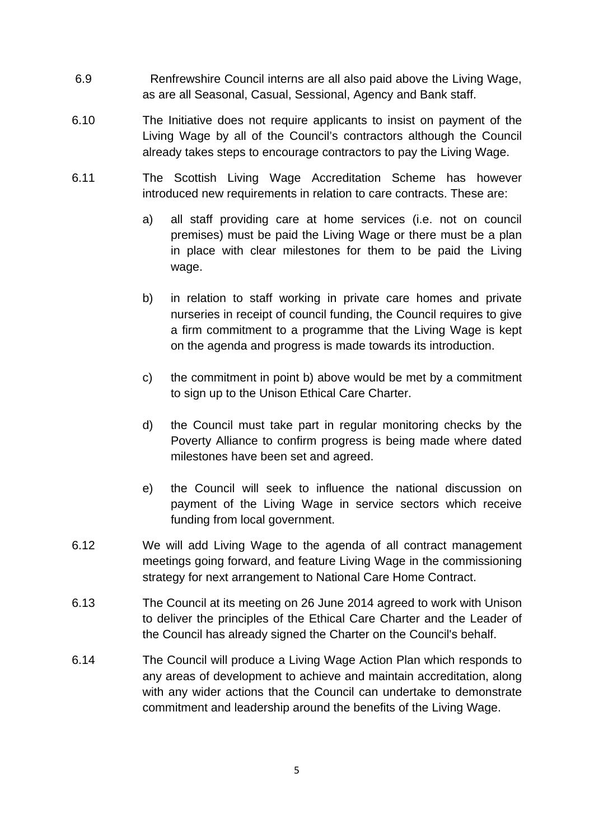- 6.9 Renfrewshire Council interns are all also paid above the Living Wage, as are all Seasonal, Casual, Sessional, Agency and Bank staff.
- 6.10 The Initiative does not require applicants to insist on payment of the Living Wage by all of the Council's contractors although the Council already takes steps to encourage contractors to pay the Living Wage.
- 6.11 The Scottish Living Wage Accreditation Scheme has however introduced new requirements in relation to care contracts. These are:
	- a) all staff providing care at home services (i.e. not on council premises) must be paid the Living Wage or there must be a plan in place with clear milestones for them to be paid the Living wage.
	- b) in relation to staff working in private care homes and private nurseries in receipt of council funding, the Council requires to give a firm commitment to a programme that the Living Wage is kept on the agenda and progress is made towards its introduction.
	- c) the commitment in point b) above would be met by a commitment to sign up to the Unison Ethical Care Charter.
	- d) the Council must take part in regular monitoring checks by the Poverty Alliance to confirm progress is being made where dated milestones have been set and agreed.
	- e) the Council will seek to influence the national discussion on payment of the Living Wage in service sectors which receive funding from local government.
- 6.12 We will add Living Wage to the agenda of all contract management meetings going forward, and feature Living Wage in the commissioning strategy for next arrangement to National Care Home Contract.
- 6.13 The Council at its meeting on 26 June 2014 agreed to work with Unison to deliver the principles of the Ethical Care Charter and the Leader of the Council has already signed the Charter on the Council's behalf.
- 6.14 The Council will produce a Living Wage Action Plan which responds to any areas of development to achieve and maintain accreditation, along with any wider actions that the Council can undertake to demonstrate commitment and leadership around the benefits of the Living Wage.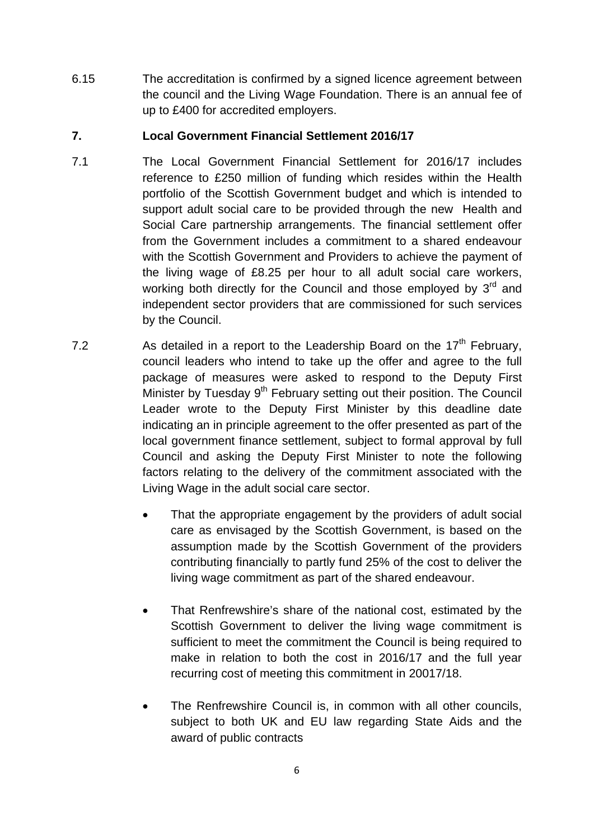6.15 The accreditation is confirmed by a signed licence agreement between the council and the Living Wage Foundation. There is an annual fee of up to £400 for accredited employers.

## **7. Local Government Financial Settlement 2016/17**

- 7.1 The Local Government Financial Settlement for 2016/17 includes reference to £250 million of funding which resides within the Health portfolio of the Scottish Government budget and which is intended to support adult social care to be provided through the new Health and Social Care partnership arrangements. The financial settlement offer from the Government includes a commitment to a shared endeavour with the Scottish Government and Providers to achieve the payment of the living wage of £8.25 per hour to all adult social care workers, working both directly for the Council and those employed by  $3^{rd}$  and independent sector providers that are commissioned for such services by the Council.
- 7.2 As detailed in a report to the Leadership Board on the  $17<sup>th</sup>$  February, council leaders who intend to take up the offer and agree to the full package of measures were asked to respond to the Deputy First Minister by Tuesday  $9<sup>th</sup>$  February setting out their position. The Council Leader wrote to the Deputy First Minister by this deadline date indicating an in principle agreement to the offer presented as part of the local government finance settlement, subject to formal approval by full Council and asking the Deputy First Minister to note the following factors relating to the delivery of the commitment associated with the Living Wage in the adult social care sector.
	- That the appropriate engagement by the providers of adult social care as envisaged by the Scottish Government, is based on the assumption made by the Scottish Government of the providers contributing financially to partly fund 25% of the cost to deliver the living wage commitment as part of the shared endeavour.
	- That Renfrewshire's share of the national cost, estimated by the Scottish Government to deliver the living wage commitment is sufficient to meet the commitment the Council is being required to make in relation to both the cost in 2016/17 and the full year recurring cost of meeting this commitment in 20017/18.
	- The Renfrewshire Council is, in common with all other councils, subject to both UK and EU law regarding State Aids and the award of public contracts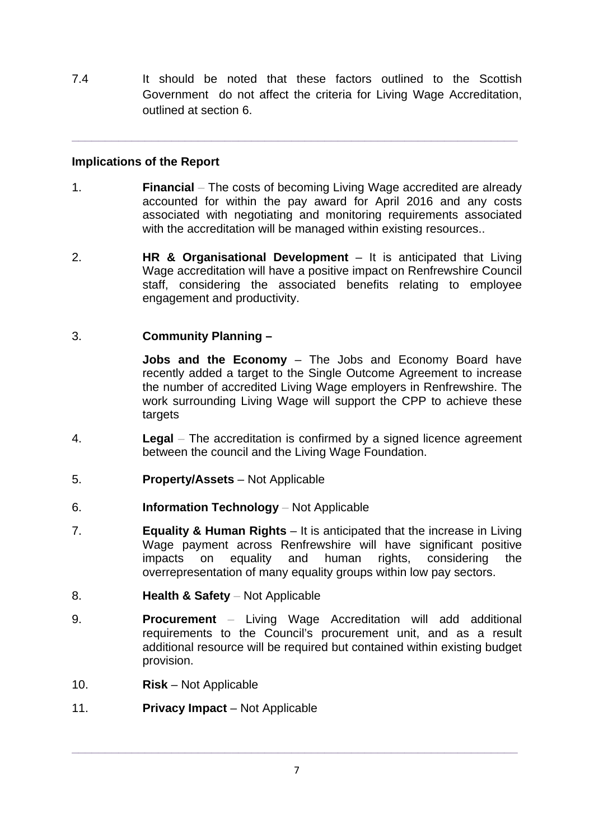7.4 It should be noted that these factors outlined to the Scottish Government do not affect the criteria for Living Wage Accreditation, outlined at section 6.

**\_\_\_\_\_\_\_\_\_\_\_\_\_\_\_\_\_\_\_\_\_\_\_\_\_\_\_\_\_\_\_\_\_\_\_\_\_\_\_\_\_\_\_\_\_\_\_\_\_\_\_\_\_\_\_\_\_\_\_\_\_\_\_\_\_\_\_** 

## **Implications of the Report**

- 1. **Financial**The costs of becoming Living Wage accredited are already accounted for within the pay award for April 2016 and any costs associated with negotiating and monitoring requirements associated with the accreditation will be managed within existing resources..
- 2. **HR & Organisational Development** It is anticipated that Living Wage accreditation will have a positive impact on Renfrewshire Council staff, considering the associated benefits relating to employee engagement and productivity.

### 3. **Community Planning –**

**Jobs and the Economy** – The Jobs and Economy Board have recently added a target to the Single Outcome Agreement to increase the number of accredited Living Wage employers in Renfrewshire. The work surrounding Living Wage will support the CPP to achieve these targets

- 4. **Legal**The accreditation is confirmed by a signed licence agreement between the council and the Living Wage Foundation.
- 5. **Property/Assets** Not Applicable
- 6. **Information Technology**Not Applicable
- 7. **Equality & Human Rights**  It is anticipated that the increase in Living Wage payment across Renfrewshire will have significant positive impacts on equality and human rights, considering the overrepresentation of many equality groups within low pay sectors.
- 8. **Health & Safety**Not Applicable
- 9. **Procurement**Living Wage Accreditation will add additional requirements to the Council's procurement unit, and as a result additional resource will be required but contained within existing budget provision.
- 10. **Risk** Not Applicable
- 11. **Privacy Impact** Not Applicable

**\_\_\_\_\_\_\_\_\_\_\_\_\_\_\_\_\_\_\_\_\_\_\_\_\_\_\_\_\_\_\_\_\_\_\_\_\_\_\_\_\_\_\_\_\_\_\_\_\_\_\_\_\_\_\_\_\_\_\_\_\_\_\_\_\_\_\_**